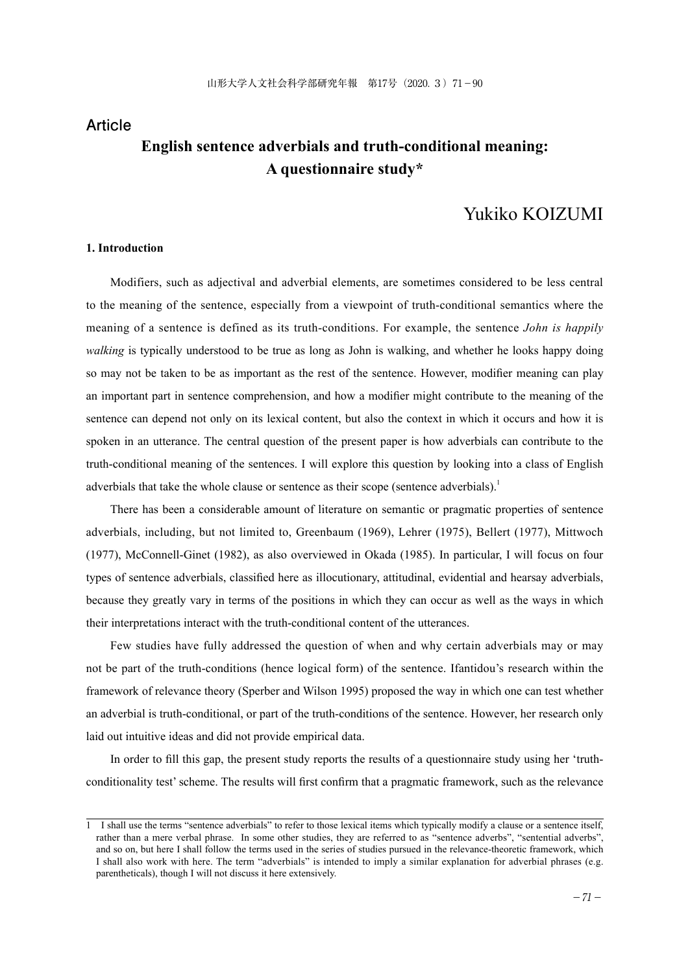# **Article English sentence adverbials and truth-conditional meaning: A questionnaire study\***

# Yukiko KOIZUMI

# **1. Introduction**

Modifiers, such as adjectival and adverbial elements, are sometimes considered to be less central to the meaning of the sentence, especially from a viewpoint of truth-conditional semantics where the meaning of a sentence is defined as its truth-conditions. For example, the sentence *John is happily walking* is typically understood to be true as long as John is walking, and whether he looks happy doing so may not be taken to be as important as the rest of the sentence. However, modifier meaning can play an important part in sentence comprehension, and how a modifier might contribute to the meaning of the sentence can depend not only on its lexical content, but also the context in which it occurs and how it is spoken in an utterance. The central question of the present paper is how adverbials can contribute to the truth-conditional meaning of the sentences. I will explore this question by looking into a class of English adverbials that take the whole clause or sentence as their scope (sentence adverbials).<sup>1</sup>

There has been a considerable amount of literature on semantic or pragmatic properties of sentence adverbials, including, but not limited to, Greenbaum (1969), Lehrer (1975), Bellert (1977), Mittwoch (1977), McConnell-Ginet (1982), as also overviewed in Okada (1985). In particular, I will focus on four types of sentence adverbials, classified here as illocutionary, attitudinal, evidential and hearsay adverbials, because they greatly vary in terms of the positions in which they can occur as well as the ways in which their interpretations interact with the truth-conditional content of the utterances.

Few studies have fully addressed the question of when and why certain adverbials may or may not be part of the truth-conditions (hence logical form) of the sentence. Ifantidou's research within the framework of relevance theory (Sperber and Wilson 1995) proposed the way in which one can test whether an adverbial is truth-conditional, or part of the truth-conditions of the sentence. However, her research only laid out intuitive ideas and did not provide empirical data.

In order to fill this gap, the present study reports the results of a questionnaire study using her 'truthconditionality test' scheme. The results will first confirm that a pragmatic framework, such as the relevance

<sup>1</sup> I shall use the terms "sentence adverbials" to refer to those lexical items which typically modify a clause or a sentence itself, rather than a mere verbal phrase. In some other studies, they are referred to as "sentence adverbs", "sentential adverbs", and so on, but here I shall follow the terms used in the series of studies pursued in the relevance-theoretic framework, which I shall also work with here. The term "adverbials" is intended to imply a similar explanation for adverbial phrases (e.g. parentheticals), though I will not discuss it here extensively.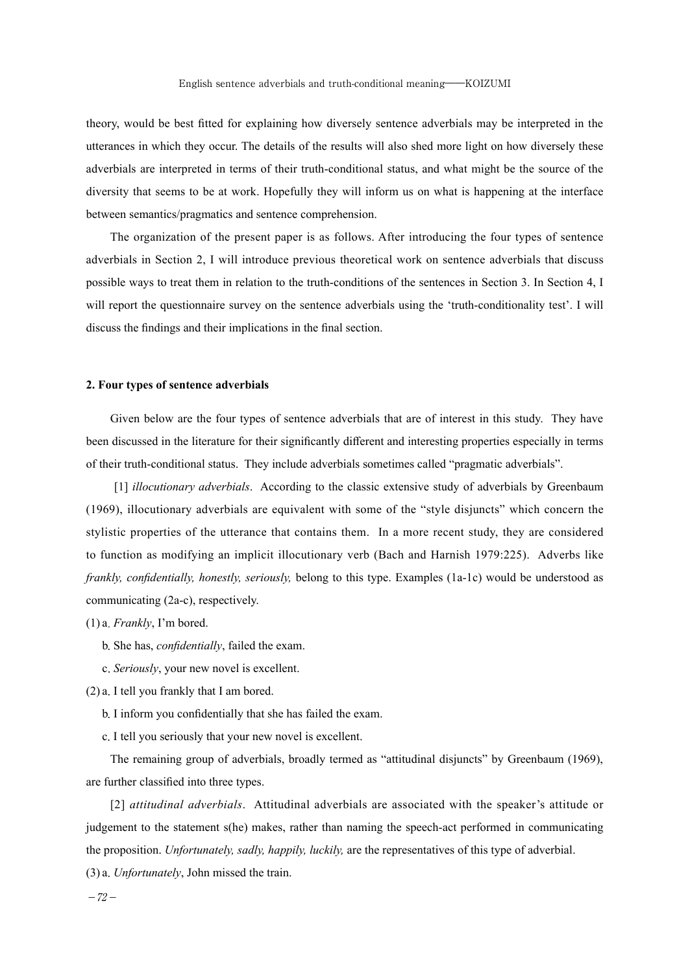theory, would be best fitted for explaining how diversely sentence adverbials may be interpreted in the utterances in which they occur. The details of the results will also shed more light on how diversely these adverbials are interpreted in terms of their truth-conditional status, and what might be the source of the diversity that seems to be at work. Hopefully they will inform us on what is happening at the interface between semantics/pragmatics and sentence comprehension.

The organization of the present paper is as follows. After introducing the four types of sentence adverbials in Section 2, I will introduce previous theoretical work on sentence adverbials that discuss possible ways to treat them in relation to the truth-conditions of the sentences in Section 3. In Section 4, I will report the questionnaire survey on the sentence adverbials using the 'truth-conditionality test'. I will discuss the findings and their implications in the final section.

# **2. Four types of sentence adverbials**

Given below are the four types of sentence adverbials that are of interest in this study. They have been discussed in the literature for their significantly different and interesting properties especially in terms of their truth-conditional status. They include adverbials sometimes called "pragmatic adverbials".

 [1] *illocutionary adverbials*. According to the classic extensive study of adverbials by Greenbaum (1969), illocutionary adverbials are equivalent with some of the "style disjuncts" which concern the stylistic properties of the utterance that contains them. In a more recent study, they are considered to function as modifying an implicit illocutionary verb (Bach and Harnish 1979:225). Adverbs like *frankly, confidentially, honestly, seriously,* belong to this type. Examples (1a-1c) would be understood as communicating (2a-c), respectively.

(1) a.*Frankly*, I'm bored.

- b.She has, *confidentially*, failed the exam.
- c.*Seriously*, your new novel is excellent.

(2) a.I tell you frankly that I am bored.

- b.I inform you confidentially that she has failed the exam.
- c.I tell you seriously that your new novel is excellent.

The remaining group of adverbials, broadly termed as "attitudinal disjuncts" by Greenbaum (1969), are further classified into three types.

[2] *attitudinal adverbials*. Attitudinal adverbials are associated with the speaker's attitude or judgement to the statement s(he) makes, rather than naming the speech-act performed in communicating the proposition. *Unfortunately, sadly, happily, luckily,* are the representatives of this type of adverbial.

(3) a.*Unfortunately*, John missed the train.

 $-72-$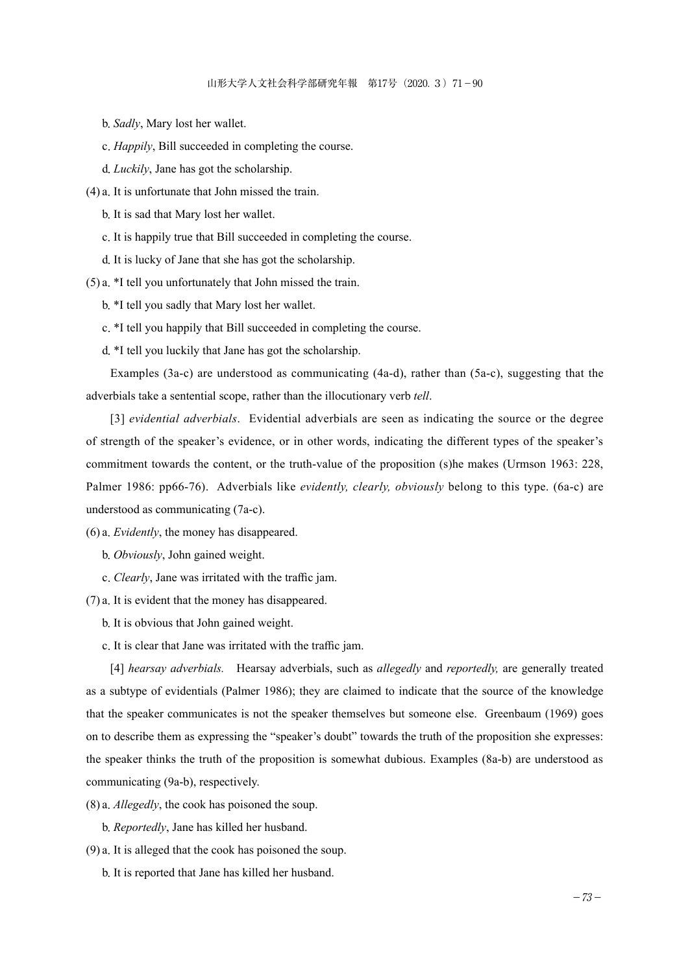- b.*Sadly*, Mary lost her wallet.
- c.*Happily*, Bill succeeded in completing the course.
- d.*Luckily*, Jane has got the scholarship.
- (4) a.It is unfortunate that John missed the train.
	- b.It is sad that Mary lost her wallet.
	- c.It is happily true that Bill succeeded in completing the course.
	- d.It is lucky of Jane that she has got the scholarship.
- (5) a.\*I tell you unfortunately that John missed the train.
	- b.\*I tell you sadly that Mary lost her wallet.
	- c.\*I tell you happily that Bill succeeded in completing the course.
	- d.\*I tell you luckily that Jane has got the scholarship.

Examples (3a-c) are understood as communicating (4a-d), rather than (5a-c), suggesting that the adverbials take a sentential scope, rather than the illocutionary verb *tell*.

[3] *evidential adverbials*. Evidential adverbials are seen as indicating the source or the degree of strength of the speaker's evidence, or in other words, indicating the different types of the speaker's commitment towards the content, or the truth-value of the proposition (s)he makes (Urmson 1963: 228, Palmer 1986: pp66-76). Adverbials like *evidently, clearly, obviously* belong to this type. (6a-c) are understood as communicating (7a-c).

- (6) a.*Evidently*, the money has disappeared.
	- b.*Obviously*, John gained weight.
	- c.*Clearly*, Jane was irritated with the traffic jam.
- (7) a.It is evident that the money has disappeared.
	- b.It is obvious that John gained weight.
	- c.It is clear that Jane was irritated with the traffic jam.

[4] *hearsay adverbials.* Hearsay adverbials, such as *allegedly* and *reportedly,* are generally treated as a subtype of evidentials (Palmer 1986); they are claimed to indicate that the source of the knowledge that the speaker communicates is not the speaker themselves but someone else. Greenbaum (1969) goes on to describe them as expressing the "speaker's doubt" towards the truth of the proposition she expresses: the speaker thinks the truth of the proposition is somewhat dubious. Examples (8a-b) are understood as communicating (9a-b), respectively.

- (8) a.*Allegedly*, the cook has poisoned the soup.
	- b.*Reportedly*, Jane has killed her husband.
- (9) a.It is alleged that the cook has poisoned the soup.
	- b.It is reported that Jane has killed her husband.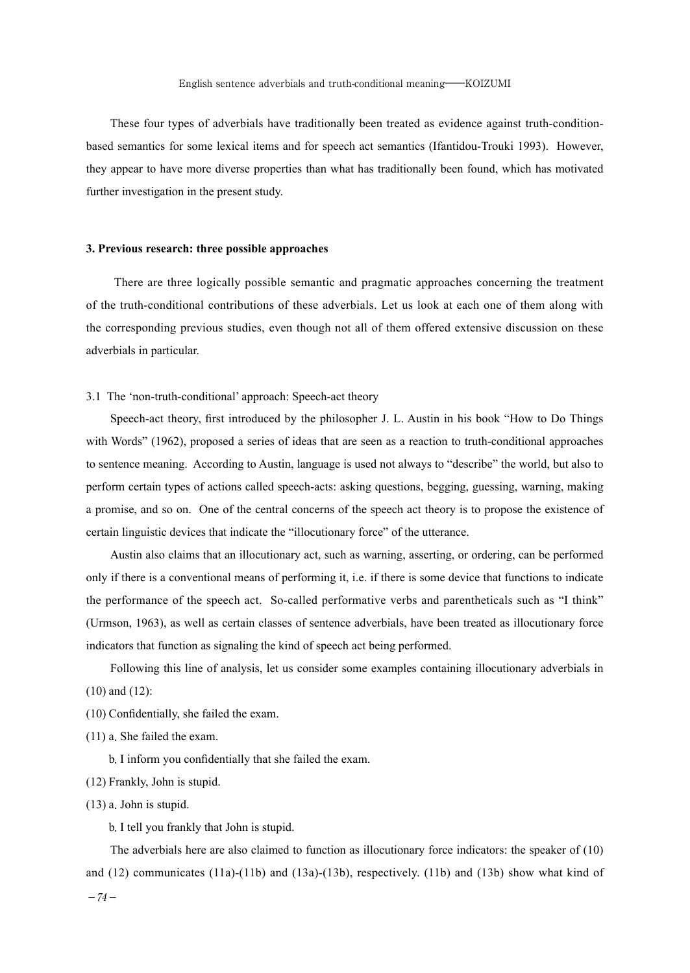These four types of adverbials have traditionally been treated as evidence against truth-conditionbased semantics for some lexical items and for speech act semantics (Ifantidou-Trouki 1993). However, they appear to have more diverse properties than what has traditionally been found, which has motivated further investigation in the present study.

### **3. Previous research: three possible approaches**

 There are three logically possible semantic and pragmatic approaches concerning the treatment of the truth-conditional contributions of these adverbials. Let us look at each one of them along with the corresponding previous studies, even though not all of them offered extensive discussion on these adverbials in particular.

# 3.1 The 'non-truth-conditional' approach: Speech-act theory

Speech-act theory, first introduced by the philosopher J. L. Austin in his book "How to Do Things with Words" (1962), proposed a series of ideas that are seen as a reaction to truth-conditional approaches to sentence meaning. According to Austin, language is used not always to "describe" the world, but also to perform certain types of actions called speech-acts: asking questions, begging, guessing, warning, making a promise, and so on. One of the central concerns of the speech act theory is to propose the existence of certain linguistic devices that indicate the "illocutionary force" of the utterance.

Austin also claims that an illocutionary act, such as warning, asserting, or ordering, can be performed only if there is a conventional means of performing it, i.e. if there is some device that functions to indicate the performance of the speech act. So-called performative verbs and parentheticals such as "I think" (Urmson, 1963), as well as certain classes of sentence adverbials, have been treated as illocutionary force indicators that function as signaling the kind of speech act being performed.

Following this line of analysis, let us consider some examples containing illocutionary adverbials in (10) and (12):

- (10) Confidentially, she failed the exam.
- (11) a.She failed the exam.

 b.I inform you confidentially that she failed the exam.

- (12) Frankly, John is stupid.
- (13) a.John is stupid.

b.I tell you frankly that John is stupid.

The adverbials here are also claimed to function as illocutionary force indicators: the speaker of (10) and (12) communicates (11a)-(11b) and (13a)-(13b), respectively. (11b) and (13b) show what kind of

 $-74-$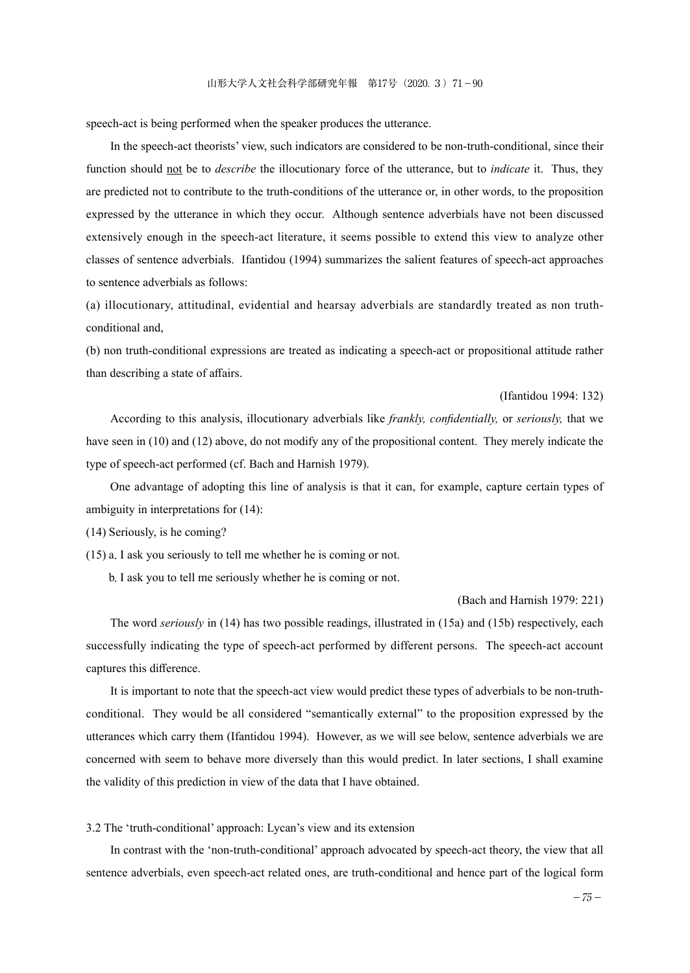speech-act is being performed when the speaker produces the utterance.

In the speech-act theorists' view, such indicators are considered to be non-truth-conditional, since their function should not be to *describe* the illocutionary force of the utterance, but to *indicate* it. Thus, they are predicted not to contribute to the truth-conditions of the utterance or, in other words, to the proposition expressed by the utterance in which they occur. Although sentence adverbials have not been discussed extensively enough in the speech-act literature, it seems possible to extend this view to analyze other classes of sentence adverbials. Ifantidou (1994) summarizes the salient features of speech-act approaches to sentence adverbials as follows:

(a) illocutionary, attitudinal, evidential and hearsay adverbials are standardly treated as non truthconditional and,

(b) non truth-conditional expressions are treated as indicating a speech-act or propositional attitude rather than describing a state of affairs.

# (Ifantidou 1994: 132)

According to this analysis, illocutionary adverbials like *frankly, confidentially,* or *seriously,* that we have seen in (10) and (12) above, do not modify any of the propositional content. They merely indicate the type of speech-act performed (cf. Bach and Harnish 1979).

One advantage of adopting this line of analysis is that it can, for example, capture certain types of ambiguity in interpretations for (14):

(14) Seriously, is he coming?

(15) a.I ask you seriously to tell me whether he is coming or not.

b.I ask you to tell me seriously whether he is coming or not.

#### (Bach and Harnish 1979: 221)

The word *seriously* in (14) has two possible readings, illustrated in (15a) and (15b) respectively, each successfully indicating the type of speech-act performed by different persons. The speech-act account captures this difference.

It is important to note that the speech-act view would predict these types of adverbials to be non-truthconditional. They would be all considered "semantically external" to the proposition expressed by the utterances which carry them (Ifantidou 1994). However, as we will see below, sentence adverbials we are concerned with seem to behave more diversely than this would predict. In later sections, I shall examine the validity of this prediction in view of the data that I have obtained.

3.2 The 'truth-conditional' approach: Lycan's view and its extension

In contrast with the 'non-truth-conditional' approach advocated by speech-act theory, the view that all sentence adverbials, even speech-act related ones, are truth-conditional and hence part of the logical form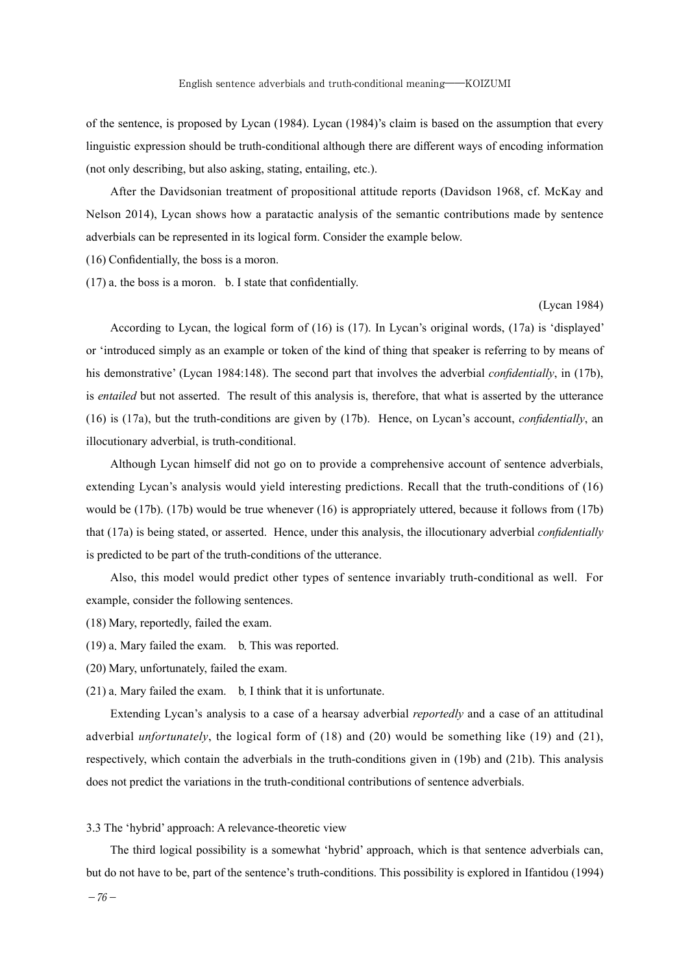of the sentence, is proposed by Lycan (1984). Lycan (1984)'s claim is based on the assumption that every linguistic expression should be truth-conditional although there are different ways of encoding information (not only describing, but also asking, stating, entailing, etc.).

After the Davidsonian treatment of propositional attitude reports (Davidson 1968, cf. McKay and Nelson 2014), Lycan shows how a paratactic analysis of the semantic contributions made by sentence adverbials can be represented in its logical form. Consider the example below.

(16) Confidentially, the boss is a moron.

(17) a.the boss is a moron. b. I state that confidentially.

#### (Lycan 1984)

According to Lycan, the logical form of (16) is (17). In Lycan's original words, (17a) is 'displayed' or 'introduced simply as an example or token of the kind of thing that speaker is referring to by means of his demonstrative' (Lycan 1984:148). The second part that involves the adverbial *confidentially*, in (17b), is *entailed* but not asserted. The result of this analysis is, therefore, that what is asserted by the utterance (16) is (17a), but the truth-conditions are given by (17b). Hence, on Lycan's account, *confidentially*, an illocutionary adverbial, is truth-conditional.

Although Lycan himself did not go on to provide a comprehensive account of sentence adverbials, extending Lycan's analysis would yield interesting predictions. Recall that the truth-conditions of (16) would be (17b). (17b) would be true whenever (16) is appropriately uttered, because it follows from (17b) that (17a) is being stated, or asserted. Hence, under this analysis, the illocutionary adverbial *confidentially* is predicted to be part of the truth-conditions of the utterance.

Also, this model would predict other types of sentence invariably truth-conditional as well. For example, consider the following sentences.

(18) Mary, reportedly, failed the exam.

- (19) a.Mary failed the exam. b.This was reported.
- (20) Mary, unfortunately, failed the exam.
- (21) a.Mary failed the exam. b.I think that it is unfortunate.

Extending Lycan's analysis to a case of a hearsay adverbial *reportedly* and a case of an attitudinal adverbial *unfortunately*, the logical form of (18) and (20) would be something like (19) and (21), respectively, which contain the adverbials in the truth-conditions given in (19b) and (21b). This analysis does not predict the variations in the truth-conditional contributions of sentence adverbials.

#### 3.3 The 'hybrid' approach: A relevance-theoretic view

The third logical possibility is a somewhat 'hybrid' approach, which is that sentence adverbials can, but do not have to be, part of the sentence's truth-conditions. This possibility is explored in Ifantidou (1994)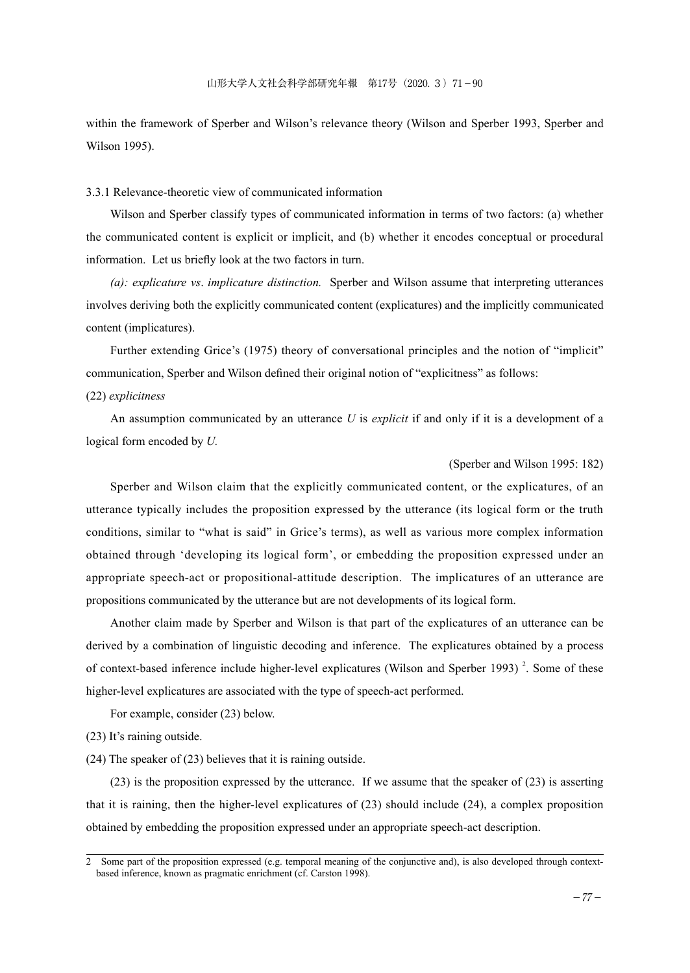within the framework of Sperber and Wilson's relevance theory (Wilson and Sperber 1993, Sperber and Wilson 1995).

# 3.3.1 Relevance-theoretic view of communicated information

Wilson and Sperber classify types of communicated information in terms of two factors: (a) whether the communicated content is explicit or implicit, and (b) whether it encodes conceptual or procedural information. Let us briefly look at the two factors in turn.

*(a): explicature vs*. *implicature distinction.* Sperber and Wilson assume that interpreting utterances involves deriving both the explicitly communicated content (explicatures) and the implicitly communicated content (implicatures).

Further extending Grice's (1975) theory of conversational principles and the notion of "implicit" communication, Sperber and Wilson defined their original notion of "explicitness" as follows: (22) *explicitness* 

An assumption communicated by an utterance *U* is *explicit* if and only if it is a development of a logical form encoded by *U.*

### (Sperber and Wilson 1995: 182)

Sperber and Wilson claim that the explicitly communicated content, or the explicatures, of an utterance typically includes the proposition expressed by the utterance (its logical form or the truth conditions, similar to "what is said" in Grice's terms), as well as various more complex information obtained through 'developing its logical form', or embedding the proposition expressed under an appropriate speech-act or propositional-attitude description. The implicatures of an utterance are propositions communicated by the utterance but are not developments of its logical form.

Another claim made by Sperber and Wilson is that part of the explicatures of an utterance can be derived by a combination of linguistic decoding and inference. The explicatures obtained by a process of context-based inference include higher-level explicatures (Wilson and Sperber 1993) $^2$ . Some of these higher-level explicatures are associated with the type of speech-act performed.

For example, consider (23) below.

(23) It's raining outside.

(24) The speaker of (23) believes that it is raining outside.

(23) is the proposition expressed by the utterance. If we assume that the speaker of (23) is asserting that it is raining, then the higher-level explicatures of (23) should include (24), a complex proposition obtained by embedding the proposition expressed under an appropriate speech-act description.

<sup>2</sup> Some part of the proposition expressed (e.g. temporal meaning of the conjunctive and), is also developed through contextbased inference, known as pragmatic enrichment (cf. Carston 1998).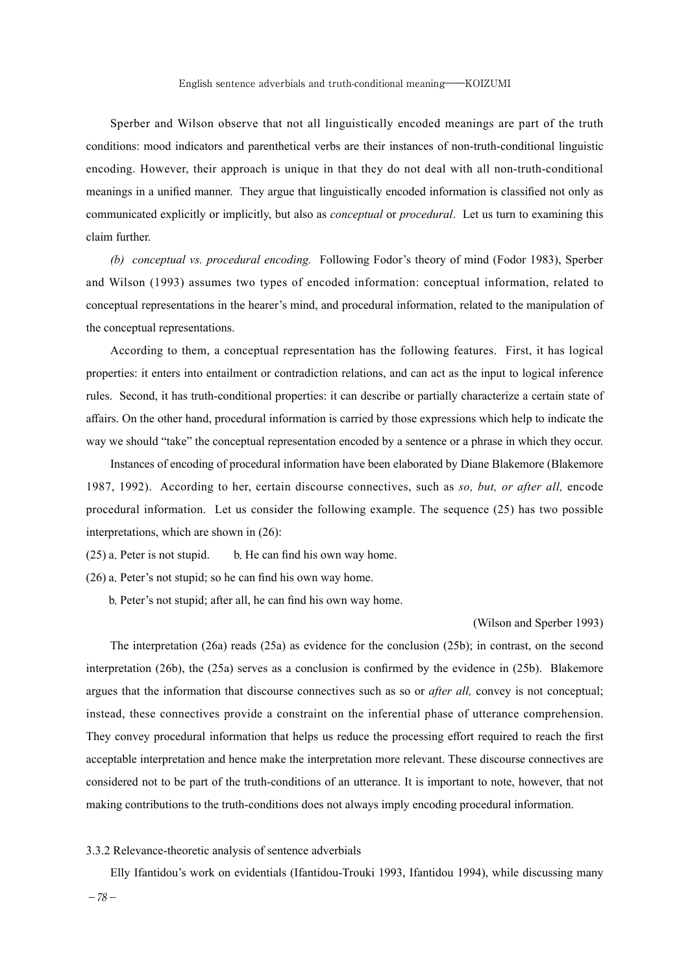Sperber and Wilson observe that not all linguistically encoded meanings are part of the truth conditions: mood indicators and parenthetical verbs are their instances of non-truth-conditional linguistic encoding. However, their approach is unique in that they do not deal with all non-truth-conditional meanings in a unified manner. They argue that linguistically encoded information is classified not only as communicated explicitly or implicitly, but also as *conceptual* or *procedural*. Let us turn to examining this claim further.

*(b) conceptual vs. procedural encoding.* Following Fodor's theory of mind (Fodor 1983), Sperber and Wilson (1993) assumes two types of encoded information: conceptual information, related to conceptual representations in the hearer's mind, and procedural information, related to the manipulation of the conceptual representations.

According to them, a conceptual representation has the following features. First, it has logical properties: it enters into entailment or contradiction relations, and can act as the input to logical inference rules. Second, it has truth-conditional properties: it can describe or partially characterize a certain state of affairs. On the other hand, procedural information is carried by those expressions which help to indicate the way we should "take" the conceptual representation encoded by a sentence or a phrase in which they occur.

Instances of encoding of procedural information have been elaborated by Diane Blakemore (Blakemore 1987, 1992). According to her, certain discourse connectives, such as *so, but, or after all,* encode procedural information. Let us consider the following example. The sequence (25) has two possible interpretations, which are shown in (26):

 $(25)$  a. Peter is not stupid. b. He can find his own way home.

(26) a.Peter's not stupid; so he can find his own way home.

b.Peter's not stupid; after all, he can find his own way home.

#### (Wilson and Sperber 1993)

The interpretation (26a) reads (25a) as evidence for the conclusion (25b); in contrast, on the second interpretation (26b), the (25a) serves as a conclusion is confirmed by the evidence in (25b). Blakemore argues that the information that discourse connectives such as so or *after all,* convey is not conceptual; instead, these connectives provide a constraint on the inferential phase of utterance comprehension. They convey procedural information that helps us reduce the processing effort required to reach the first acceptable interpretation and hence make the interpretation more relevant. These discourse connectives are considered not to be part of the truth-conditions of an utterance. It is important to note, however, that not making contributions to the truth-conditions does not always imply encoding procedural information.

## 3.3.2 Relevance-theoretic analysis of sentence adverbials

Elly Ifantidou's work on evidentials (Ifantidou-Trouki 1993, Ifantidou 1994), while discussing many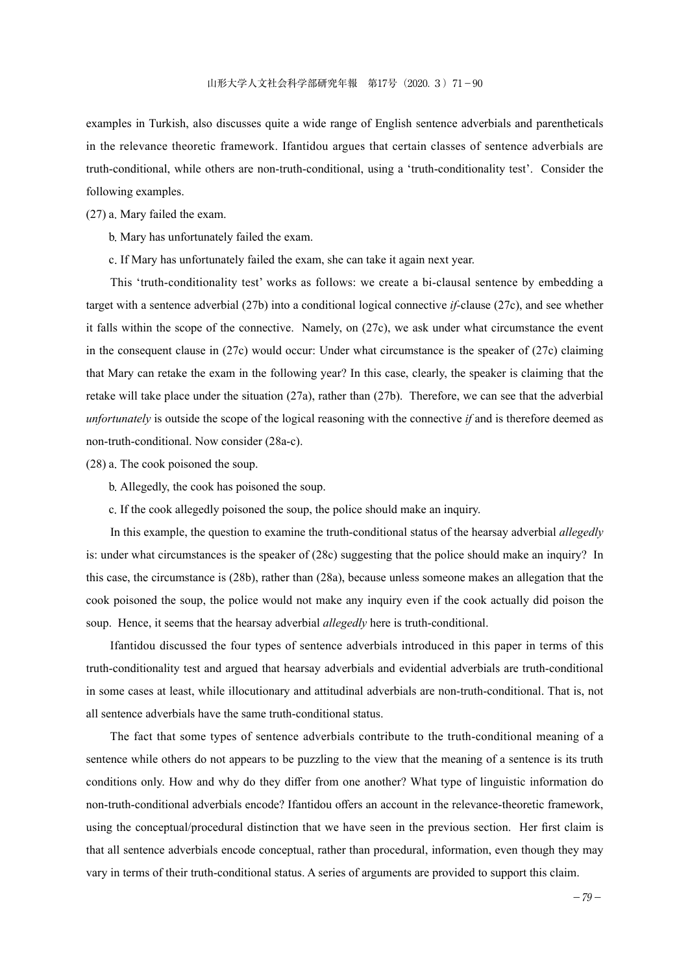examples in Turkish, also discusses quite a wide range of English sentence adverbials and parentheticals in the relevance theoretic framework. Ifantidou argues that certain classes of sentence adverbials are truth-conditional, while others are non-truth-conditional, using a 'truth-conditionality test'. Consider the following examples.

(27) a.Mary failed the exam.

b.Mary has unfortunately failed the exam.

c.If Mary has unfortunately failed the exam, she can take it again next year.

This 'truth-conditionality test' works as follows: we create a bi-clausal sentence by embedding a target with a sentence adverbial (27b) into a conditional logical connective *if-*clause (27c), and see whether it falls within the scope of the connective. Namely, on (27c), we ask under what circumstance the event in the consequent clause in  $(27c)$  would occur: Under what circumstance is the speaker of  $(27c)$  claiming that Mary can retake the exam in the following year? In this case, clearly, the speaker is claiming that the retake will take place under the situation (27a), rather than (27b). Therefore, we can see that the adverbial *unfortunately* is outside the scope of the logical reasoning with the connective *if* and is therefore deemed as non-truth-conditional. Now consider (28a-c).

(28) a.The cook poisoned the soup.

b.Allegedly, the cook has poisoned the soup.

c.If the cook allegedly poisoned the soup, the police should make an inquiry.

In this example, the question to examine the truth-conditional status of the hearsay adverbial *allegedly*  is: under what circumstances is the speaker of (28c) suggesting that the police should make an inquiry? In this case, the circumstance is (28b), rather than (28a), because unless someone makes an allegation that the cook poisoned the soup, the police would not make any inquiry even if the cook actually did poison the soup. Hence, it seems that the hearsay adverbial *allegedly* here is truth-conditional.

Ifantidou discussed the four types of sentence adverbials introduced in this paper in terms of this truth-conditionality test and argued that hearsay adverbials and evidential adverbials are truth-conditional in some cases at least, while illocutionary and attitudinal adverbials are non-truth-conditional. That is, not all sentence adverbials have the same truth-conditional status.

The fact that some types of sentence adverbials contribute to the truth-conditional meaning of a sentence while others do not appears to be puzzling to the view that the meaning of a sentence is its truth conditions only. How and why do they differ from one another? What type of linguistic information do non-truth-conditional adverbials encode? Ifantidou offers an account in the relevance-theoretic framework, using the conceptual/procedural distinction that we have seen in the previous section. Her first claim is that all sentence adverbials encode conceptual, rather than procedural, information, even though they may vary in terms of their truth-conditional status. A series of arguments are provided to support this claim.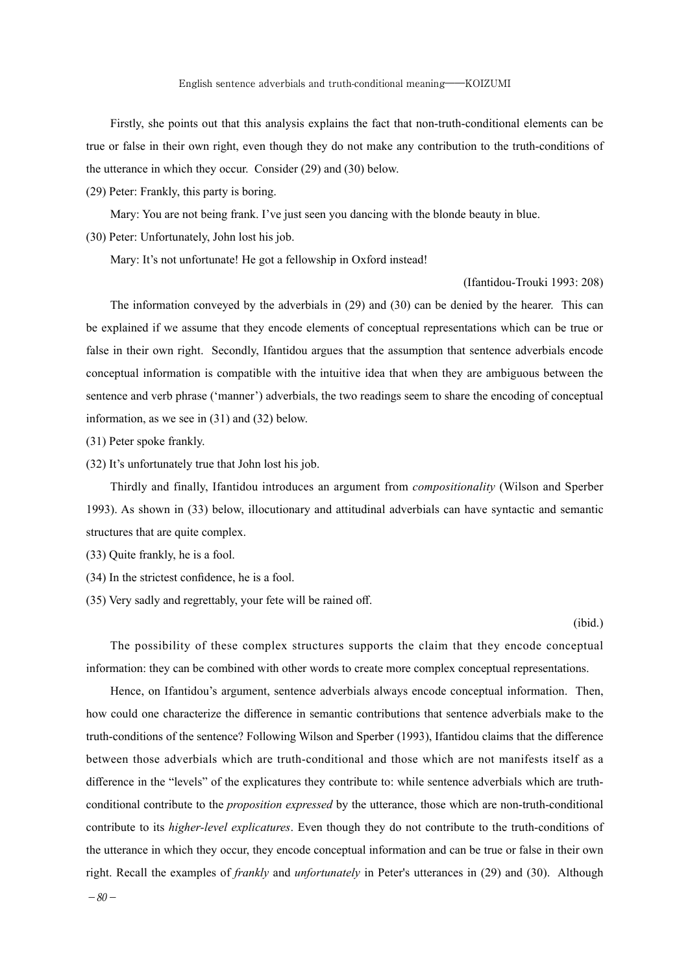Firstly, she points out that this analysis explains the fact that non-truth-conditional elements can be true or false in their own right, even though they do not make any contribution to the truth-conditions of the utterance in which they occur. Consider (29) and (30) below.

(29) Peter: Frankly, this party is boring.

Mary: You are not being frank. I've just seen you dancing with the blonde beauty in blue.

(30) Peter: Unfortunately, John lost his job.

Mary: It's not unfortunate! He got a fellowship in Oxford instead!

#### (Ifantidou-Trouki 1993: 208)

The information conveyed by the adverbials in (29) and (30) can be denied by the hearer. This can be explained if we assume that they encode elements of conceptual representations which can be true or false in their own right. Secondly, Ifantidou argues that the assumption that sentence adverbials encode conceptual information is compatible with the intuitive idea that when they are ambiguous between the sentence and verb phrase ('manner') adverbials, the two readings seem to share the encoding of conceptual information, as we see in (31) and (32) below.

(31) Peter spoke frankly.

(32) It's unfortunately true that John lost his job.

Thirdly and finally, Ifantidou introduces an argument from *compositionality* (Wilson and Sperber 1993). As shown in (33) below, illocutionary and attitudinal adverbials can have syntactic and semantic structures that are quite complex.

- (33) Quite frankly, he is a fool.
- (34) In the strictest confidence, he is a fool.
- (35) Very sadly and regrettably, your fete will be rained off.

#### (ibid.)

The possibility of these complex structures supports the claim that they encode conceptual information: they can be combined with other words to create more complex conceptual representations.

Hence, on Ifantidou's argument, sentence adverbials always encode conceptual information. Then, how could one characterize the difference in semantic contributions that sentence adverbials make to the truth-conditions of the sentence? Following Wilson and Sperber (1993), Ifantidou claims that the difference between those adverbials which are truth-conditional and those which are not manifests itself as a difference in the "levels" of the explicatures they contribute to: while sentence adverbials which are truthconditional contribute to the *proposition expressed* by the utterance, those which are non-truth-conditional contribute to its *higher-level explicatures*. Even though they do not contribute to the truth-conditions of the utterance in which they occur, they encode conceptual information and can be true or false in their own right. Recall the examples of *frankly* and *unfortunately* in Peter's utterances in (29) and (30). Although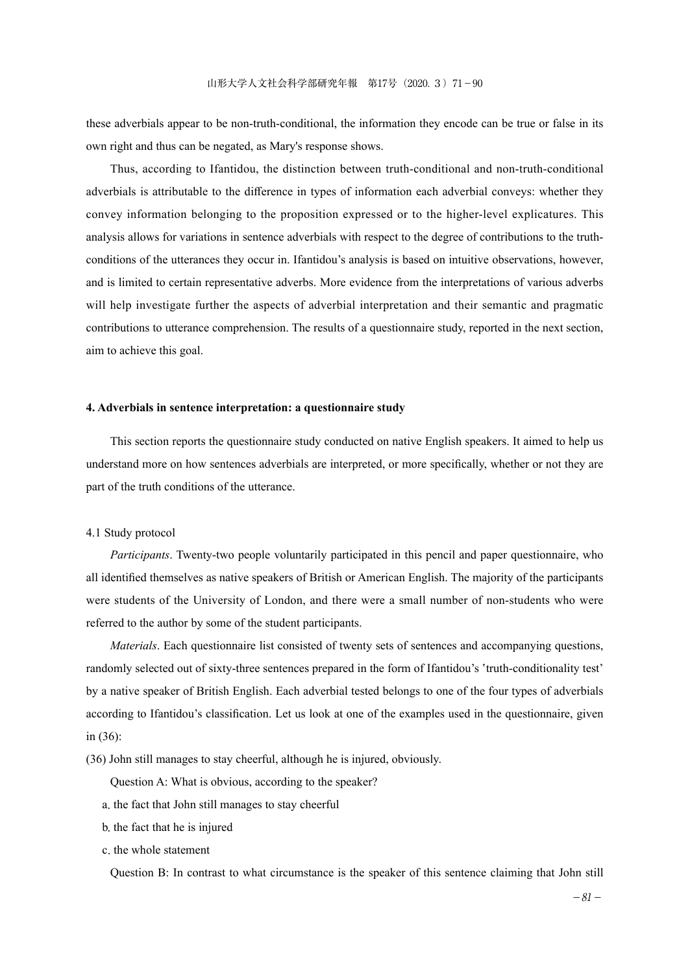these adverbials appear to be non-truth-conditional, the information they encode can be true or false in its own right and thus can be negated, as Mary's response shows.

Thus, according to Ifantidou, the distinction between truth-conditional and non-truth-conditional adverbials is attributable to the difference in types of information each adverbial conveys: whether they convey information belonging to the proposition expressed or to the higher-level explicatures. This analysis allows for variations in sentence adverbials with respect to the degree of contributions to the truthconditions of the utterances they occur in. Ifantidou's analysis is based on intuitive observations, however, and is limited to certain representative adverbs. More evidence from the interpretations of various adverbs will help investigate further the aspects of adverbial interpretation and their semantic and pragmatic contributions to utterance comprehension. The results of a questionnaire study, reported in the next section, aim to achieve this goal.

# **4. Adverbials in sentence interpretation: a questionnaire study**

This section reports the questionnaire study conducted on native English speakers. It aimed to help us understand more on how sentences adverbials are interpreted, or more specifically, whether or not they are part of the truth conditions of the utterance.

# 4.1 Study protocol

*Participants*. Twenty-two people voluntarily participated in this pencil and paper questionnaire, who all identified themselves as native speakers of British or American English. The majority of the participants were students of the University of London, and there were a small number of non-students who were referred to the author by some of the student participants.

*Materials*. Each questionnaire list consisted of twenty sets of sentences and accompanying questions, randomly selected out of sixty-three sentences prepared in the form of Ifantidou's 'truth-conditionality test' by a native speaker of British English. Each adverbial tested belongs to one of the four types of adverbials according to Ifantidou's classification. Let us look at one of the examples used in the questionnaire, given in (36):

(36) John still manages to stay cheerful, although he is injured, obviously.

Question A: What is obvious, according to the speaker?

- a.the fact that John still manages to stay cheerful
- b.the fact that he is injured
- c.the whole statement

Question B: In contrast to what circumstance is the speaker of this sentence claiming that John still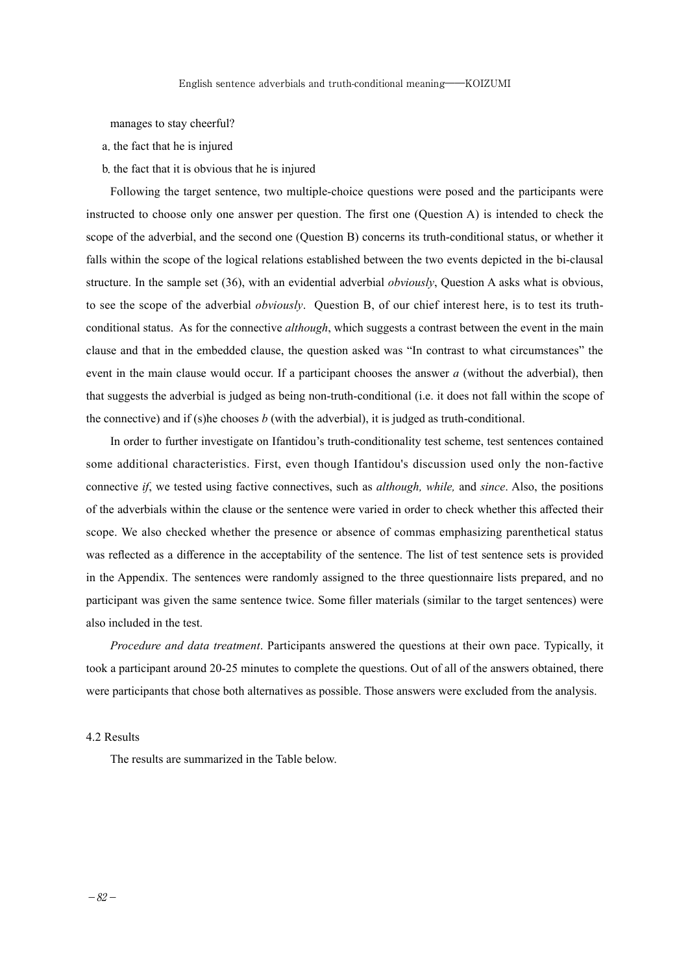manages to stay cheerful?

- a.the fact that he is injured
- b.the fact that it is obvious that he is injured

Following the target sentence, two multiple-choice questions were posed and the participants were instructed to choose only one answer per question. The first one (Question A) is intended to check the scope of the adverbial, and the second one (Question B) concerns its truth-conditional status, or whether it falls within the scope of the logical relations established between the two events depicted in the bi-clausal structure. In the sample set (36), with an evidential adverbial *obviously*, Question A asks what is obvious, to see the scope of the adverbial *obviously*. Question B, of our chief interest here, is to test its truthconditional status. As for the connective *although*, which suggests a contrast between the event in the main clause and that in the embedded clause, the question asked was "In contrast to what circumstances" the event in the main clause would occur. If a participant chooses the answer *a* (without the adverbial), then that suggests the adverbial is judged as being non-truth-conditional (i.e. it does not fall within the scope of the connective) and if (s)he chooses *b* (with the adverbial), it is judged as truth-conditional.

In order to further investigate on Ifantidou's truth-conditionality test scheme, test sentences contained some additional characteristics. First, even though Ifantidou's discussion used only the non-factive connective *if*, we tested using factive connectives, such as *although, while,* and *since*. Also, the positions of the adverbials within the clause or the sentence were varied in order to check whether this affected their scope. We also checked whether the presence or absence of commas emphasizing parenthetical status was reflected as a difference in the acceptability of the sentence. The list of test sentence sets is provided in the Appendix. The sentences were randomly assigned to the three questionnaire lists prepared, and no participant was given the same sentence twice. Some filler materials (similar to the target sentences) were also included in the test.

*Procedure and data treatment*. Participants answered the questions at their own pace. Typically, it took a participant around 20-25 minutes to complete the questions. Out of all of the answers obtained, there were participants that chose both alternatives as possible. Those answers were excluded from the analysis.

# 4.2 Results

The results are summarized in the Table below.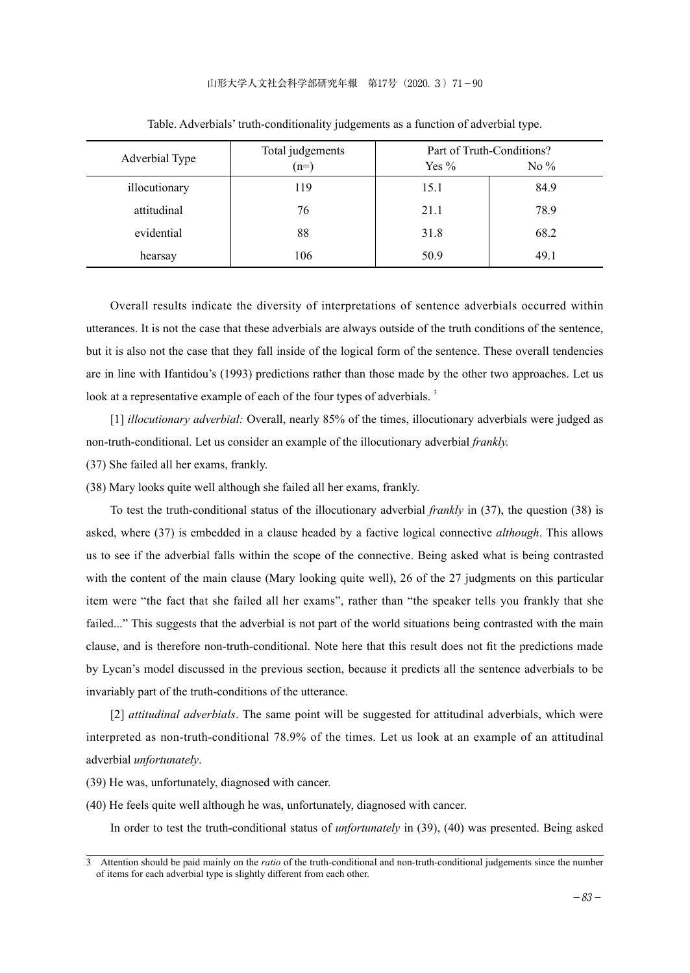#### 山形大学人文社会科学部研究年報 第17号(2020.3)71-90

| Adverbial Type | Total judgements |         | Part of Truth-Conditions? |  |
|----------------|------------------|---------|---------------------------|--|
|                | $(n=)$           | Yes $%$ | No $\%$                   |  |
| illocutionary  | 119              | 15.1    | 84.9                      |  |
| attitudinal    | 76               | 21.1    | 78.9                      |  |
| evidential     | 88               | 31.8    | 68.2                      |  |
| hearsay        | 106              | 50.9    | 49.1                      |  |

Table. Adverbials' truth-conditionality judgements as a function of adverbial type.

Overall results indicate the diversity of interpretations of sentence adverbials occurred within utterances. It is not the case that these adverbials are always outside of the truth conditions of the sentence, but it is also not the case that they fall inside of the logical form of the sentence. These overall tendencies are in line with Ifantidou's (1993) predictions rather than those made by the other two approaches. Let us look at a representative example of each of the four types of adverbials.<sup>3</sup>

[1] *illocutionary adverbial:* Overall, nearly 85% of the times, illocutionary adverbials were judged as non-truth-conditional. Let us consider an example of the illocutionary adverbial *frankly.*

(37) She failed all her exams, frankly.

(38) Mary looks quite well although she failed all her exams, frankly.

To test the truth-conditional status of the illocutionary adverbial *frankly* in (37), the question (38) is asked, where (37) is embedded in a clause headed by a factive logical connective *although*. This allows us to see if the adverbial falls within the scope of the connective. Being asked what is being contrasted with the content of the main clause (Mary looking quite well), 26 of the 27 judgments on this particular item were "the fact that she failed all her exams", rather than "the speaker tells you frankly that she failed..." This suggests that the adverbial is not part of the world situations being contrasted with the main clause, and is therefore non-truth-conditional. Note here that this result does not fit the predictions made by Lycan's model discussed in the previous section, because it predicts all the sentence adverbials to be invariably part of the truth-conditions of the utterance.

[2] *attitudinal adverbials*. The same point will be suggested for attitudinal adverbials, which were interpreted as non-truth-conditional 78.9% of the times. Let us look at an example of an attitudinal adverbial *unfortunately*.

(39) He was, unfortunately, diagnosed with cancer.

(40) He feels quite well although he was, unfortunately, diagnosed with cancer.

In order to test the truth-conditional status of *unfortunately* in (39), (40) was presented. Being asked

<sup>3</sup> Attention should be paid mainly on the *ratio* of the truth-conditional and non-truth-conditional judgements since the number of items for each adverbial type is slightly different from each other.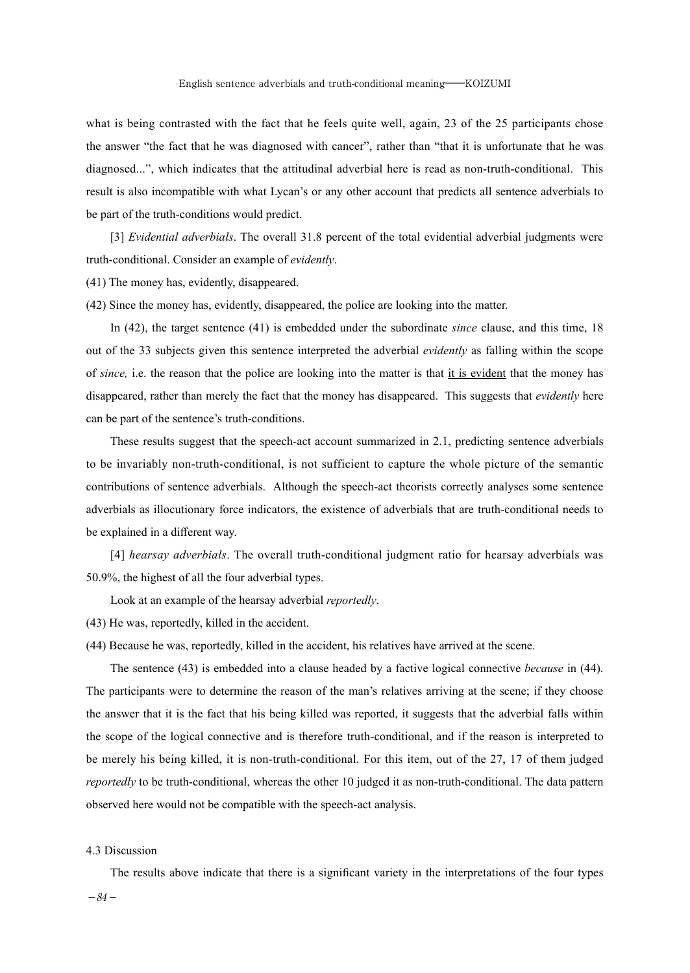what is being contrasted with the fact that he feels quite well, again, 23 of the 25 participants chose the answer "the fact that he was diagnosed with cancer", rather than "that it is unfortunate that he was diagnosed...", which indicates that the attitudinal adverbial here is read as non-truth-conditional. This result is also incompatible with what Lycan's or any other account that predicts all sentence adverbials to be part of the truth-conditions would predict.

[3] *Evidential adverbials*. The overall 31.8 percent of the total evidential adverbial judgments were truth-conditional. Consider an example of *evidently*.

(41) The money has, evidently, disappeared.

(42) Since the money has, evidently, disappeared, the police are looking into the matter.

In (42), the target sentence (41) is embedded under the subordinate *since* clause, and this time, 18 out of the 33 subjects given this sentence interpreted the adverbial *evidently* as falling within the scope of *since,* i.e. the reason that the police are looking into the matter is that it is evident that the money has disappeared, rather than merely the fact that the money has disappeared. This suggests that *evidently* here can be part of the sentence's truth-conditions.

These results suggest that the speech-act account summarized in 2.1, predicting sentence adverbials to be invariably non-truth-conditional, is not sufficient to capture the whole picture of the semantic contributions of sentence adverbials. Although the speech-act theorists correctly analyses some sentence adverbials as illocutionary force indicators, the existence of adverbials that are truth-conditional needs to be explained in a different way.

[4] *hearsay adverbials*. The overall truth-conditional judgment ratio for hearsay adverbials was 50.9%, the highest of all the four adverbial types.

Look at an example of the hearsay adverbial *reportedly*.

(43) He was, reportedly, killed in the accident.

(44) Because he was, reportedly, killed in the accident, his relatives have arrived at the scene.

The sentence (43) is embedded into a clause headed by a factive logical connective *because* in (44). The participants were to determine the reason of the man's relatives arriving at the scene; if they choose the answer that it is the fact that his being killed was reported, it suggests that the adverbial falls within the scope of the logical connective and is therefore truth-conditional, and if the reason is interpreted to be merely his being killed, it is non-truth-conditional. For this item, out of the 27, 17 of them judged *reportedly* to be truth-conditional, whereas the other 10 judged it as non-truth-conditional. The data pattern observed here would not be compatible with the speech-act analysis.

# 4.3 Discussion

The results above indicate that there is a significant variety in the interpretations of the four types

 $-84-$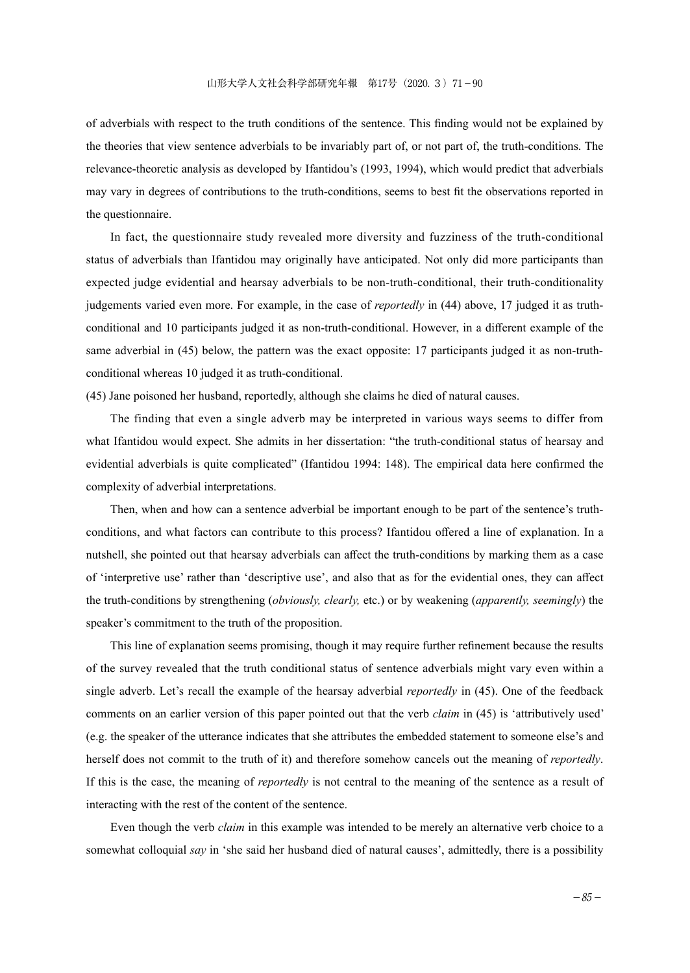of adverbials with respect to the truth conditions of the sentence. This finding would not be explained by the theories that view sentence adverbials to be invariably part of, or not part of, the truth-conditions. The relevance-theoretic analysis as developed by Ifantidou's (1993, 1994), which would predict that adverbials may vary in degrees of contributions to the truth-conditions, seems to best fit the observations reported in the questionnaire.

In fact, the questionnaire study revealed more diversity and fuzziness of the truth-conditional status of adverbials than Ifantidou may originally have anticipated. Not only did more participants than expected judge evidential and hearsay adverbials to be non-truth-conditional, their truth-conditionality judgements varied even more. For example, in the case of *reportedly* in (44) above, 17 judged it as truthconditional and 10 participants judged it as non-truth-conditional. However, in a different example of the same adverbial in (45) below, the pattern was the exact opposite: 17 participants judged it as non-truthconditional whereas 10 judged it as truth-conditional.

(45) Jane poisoned her husband, reportedly, although she claims he died of natural causes.

The finding that even a single adverb may be interpreted in various ways seems to differ from what Ifantidou would expect. She admits in her dissertation: "the truth-conditional status of hearsay and evidential adverbials is quite complicated" (Ifantidou 1994: 148). The empirical data here confirmed the complexity of adverbial interpretations.

Then, when and how can a sentence adverbial be important enough to be part of the sentence's truthconditions, and what factors can contribute to this process? Ifantidou offered a line of explanation. In a nutshell, she pointed out that hearsay adverbials can affect the truth-conditions by marking them as a case of 'interpretive use' rather than 'descriptive use', and also that as for the evidential ones, they can affect the truth-conditions by strengthening (*obviously, clearly,* etc.) or by weakening (*apparently, seemingly*) the speaker's commitment to the truth of the proposition.

This line of explanation seems promising, though it may require further refinement because the results of the survey revealed that the truth conditional status of sentence adverbials might vary even within a single adverb. Let's recall the example of the hearsay adverbial *reportedly* in (45). One of the feedback comments on an earlier version of this paper pointed out that the verb *claim* in (45) is 'attributively used' (e.g. the speaker of the utterance indicates that she attributes the embedded statement to someone else's and herself does not commit to the truth of it) and therefore somehow cancels out the meaning of *reportedly*. If this is the case, the meaning of *reportedly* is not central to the meaning of the sentence as a result of interacting with the rest of the content of the sentence.

Even though the verb *claim* in this example was intended to be merely an alternative verb choice to a somewhat colloquial *say* in 'she said her husband died of natural causes', admittedly, there is a possibility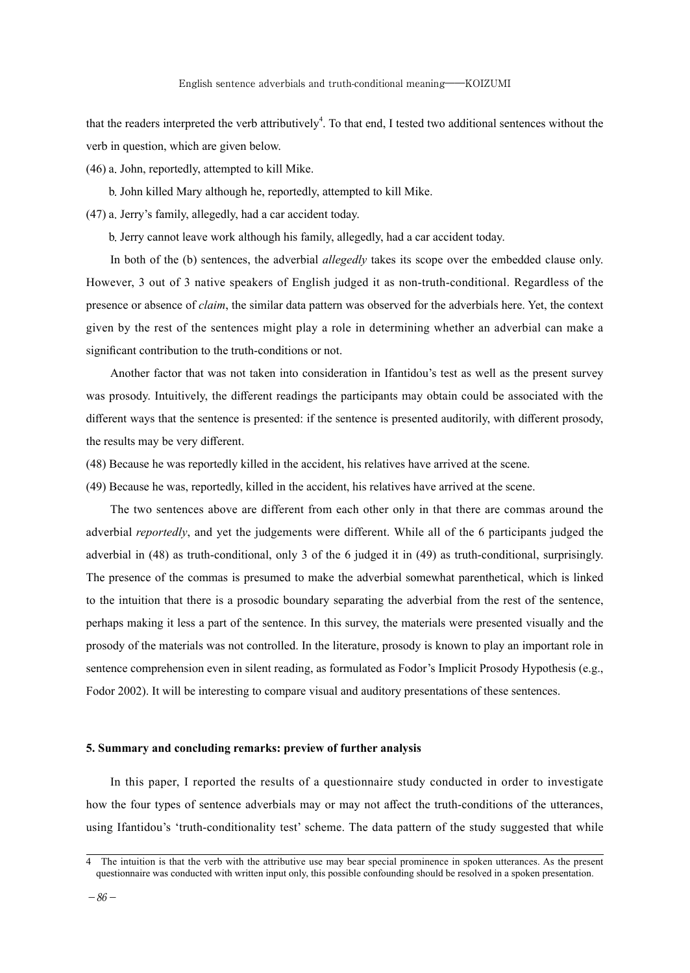that the readers interpreted the verb attributively<sup>4</sup>. To that end, I tested two additional sentences without the verb in question, which are given below.

(46) a.John, reportedly, attempted to kill Mike.

 b.John killed Mary although he, reportedly, attempted to kill Mike.

(47) a.Jerry's family, allegedly, had a car accident today.

b.Jerry cannot leave work although his family, allegedly, had a car accident today.

In both of the (b) sentences, the adverbial *allegedly* takes its scope over the embedded clause only. However, 3 out of 3 native speakers of English judged it as non-truth-conditional. Regardless of the presence or absence of *claim*, the similar data pattern was observed for the adverbials here. Yet, the context given by the rest of the sentences might play a role in determining whether an adverbial can make a significant contribution to the truth-conditions or not.

Another factor that was not taken into consideration in Ifantidou's test as well as the present survey was prosody. Intuitively, the different readings the participants may obtain could be associated with the different ways that the sentence is presented: if the sentence is presented auditorily, with different prosody, the results may be very different.

(48) Because he was reportedly killed in the accident, his relatives have arrived at the scene.

(49) Because he was, reportedly, killed in the accident, his relatives have arrived at the scene.

The two sentences above are different from each other only in that there are commas around the adverbial *reportedly*, and yet the judgements were different. While all of the 6 participants judged the adverbial in (48) as truth-conditional, only 3 of the 6 judged it in (49) as truth-conditional, surprisingly. The presence of the commas is presumed to make the adverbial somewhat parenthetical, which is linked to the intuition that there is a prosodic boundary separating the adverbial from the rest of the sentence, perhaps making it less a part of the sentence. In this survey, the materials were presented visually and the prosody of the materials was not controlled. In the literature, prosody is known to play an important role in sentence comprehension even in silent reading, as formulated as Fodor's Implicit Prosody Hypothesis (e.g., Fodor 2002). It will be interesting to compare visual and auditory presentations of these sentences.

#### **5. Summary and concluding remarks: preview of further analysis**

In this paper, I reported the results of a questionnaire study conducted in order to investigate how the four types of sentence adverbials may or may not affect the truth-conditions of the utterances, using Ifantidou's 'truth-conditionality test' scheme. The data pattern of the study suggested that while

<sup>4</sup> The intuition is that the verb with the attributive use may bear special prominence in spoken utterances. As the present questionnaire was conducted with written input only, this possible confounding should be resolved in a spoken presentation.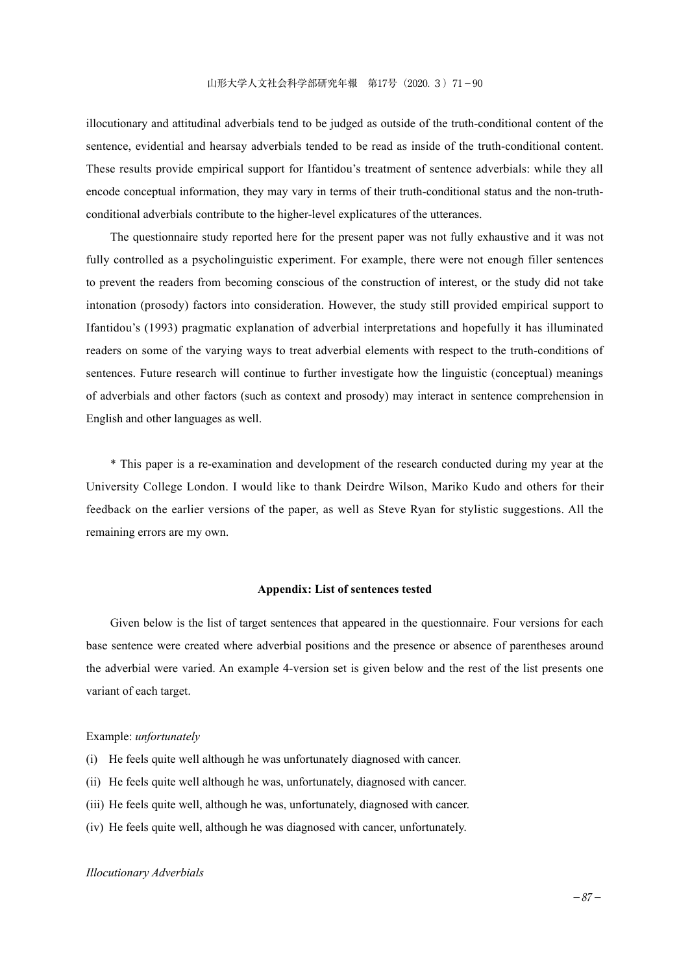illocutionary and attitudinal adverbials tend to be judged as outside of the truth-conditional content of the sentence, evidential and hearsay adverbials tended to be read as inside of the truth-conditional content. These results provide empirical support for Ifantidou's treatment of sentence adverbials: while they all encode conceptual information, they may vary in terms of their truth-conditional status and the non-truthconditional adverbials contribute to the higher-level explicatures of the utterances.

The questionnaire study reported here for the present paper was not fully exhaustive and it was not fully controlled as a psycholinguistic experiment. For example, there were not enough filler sentences to prevent the readers from becoming conscious of the construction of interest, or the study did not take intonation (prosody) factors into consideration. However, the study still provided empirical support to Ifantidou's (1993) pragmatic explanation of adverbial interpretations and hopefully it has illuminated readers on some of the varying ways to treat adverbial elements with respect to the truth-conditions of sentences. Future research will continue to further investigate how the linguistic (conceptual) meanings of adverbials and other factors (such as context and prosody) may interact in sentence comprehension in English and other languages as well.

\* This paper is a re-examination and development of the research conducted during my year at the University College London. I would like to thank Deirdre Wilson, Mariko Kudo and others for their feedback on the earlier versions of the paper, as well as Steve Ryan for stylistic suggestions. All the remaining errors are my own.

# **Appendix: List of sentences tested**

Given below is the list of target sentences that appeared in the questionnaire. Four versions for each base sentence were created where adverbial positions and the presence or absence of parentheses around the adverbial were varied. An example 4-version set is given below and the rest of the list presents one variant of each target.

# Example: *unfortunately*

- (i) He feels quite well although he was unfortunately diagnosed with cancer.
- (ii) He feels quite well although he was, unfortunately, diagnosed with cancer.
- (iii) He feels quite well, although he was, unfortunately, diagnosed with cancer.
- (iv) He feels quite well, although he was diagnosed with cancer, unfortunately.

#### *Illocutionary Adverbials*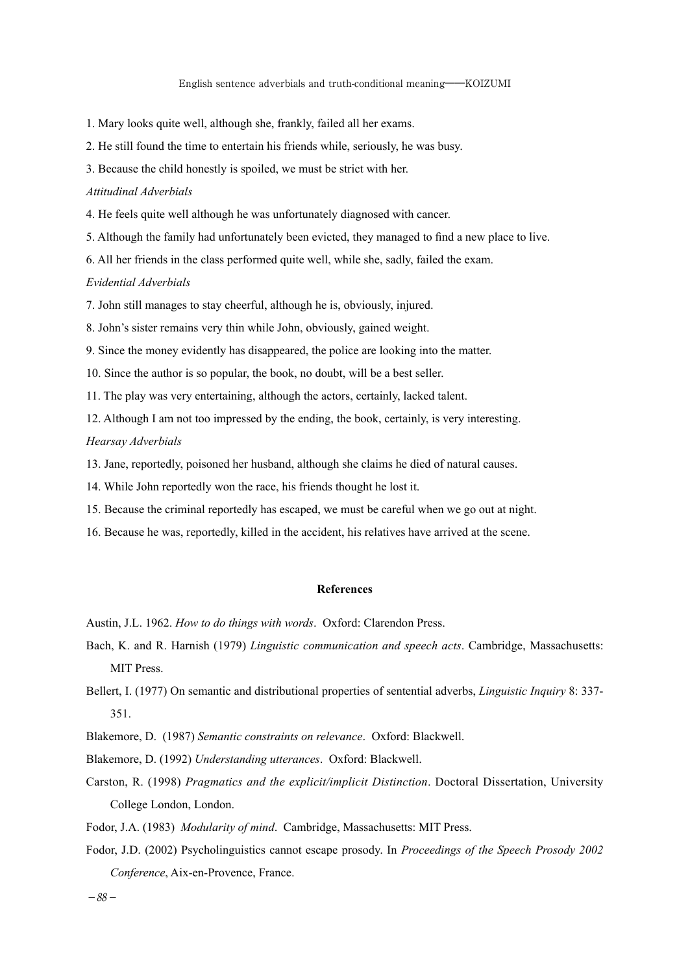1. Mary looks quite well, although she, frankly, failed all her exams.

2. He still found the time to entertain his friends while, seriously, he was busy.

3. Because the child honestly is spoiled, we must be strict with her.

#### *Attitudinal Adverbials*

4. He feels quite well although he was unfortunately diagnosed with cancer.

5. Although the family had unfortunately been evicted, they managed to find a new place to live.

6. All her friends in the class performed quite well, while she, sadly, failed the exam.

# *Evidential Adverbials*

7. John still manages to stay cheerful, although he is, obviously, injured.

8. John's sister remains very thin while John, obviously, gained weight.

9. Since the money evidently has disappeared, the police are looking into the matter.

10. Since the author is so popular, the book, no doubt, will be a best seller.

11. The play was very entertaining, although the actors, certainly, lacked talent.

12. Although I am not too impressed by the ending, the book, certainly, is very interesting.

### *Hearsay Adverbials*

13. Jane, reportedly, poisoned her husband, although she claims he died of natural causes.

- 14. While John reportedly won the race, his friends thought he lost it.
- 15. Because the criminal reportedly has escaped, we must be careful when we go out at night.
- 16. Because he was, reportedly, killed in the accident, his relatives have arrived at the scene.

#### **References**

Austin, J.L. 1962. *How to do things with words*. Oxford: Clarendon Press.

- Bach, K. and R. Harnish (1979) *Linguistic communication and speech acts*. Cambridge, Massachusetts: MIT Press.
- Bellert, I. (1977) On semantic and distributional properties of sentential adverbs, *Linguistic Inquiry* 8: 337- 351.
- Blakemore, D. (1987) *Semantic constraints on relevance*. Oxford: Blackwell.
- Blakemore, D. (1992) *Understanding utterances*. Oxford: Blackwell.
- Carston, R. (1998) *Pragmatics and the explicit/implicit Distinction*. Doctoral Dissertation, University College London, London.
- Fodor, J.A. (1983) *Modularity of mind*. Cambridge, Massachusetts: MIT Press.
- Fodor, J.D. (2002) Psycholinguistics cannot escape prosody. In *Proceedings of the Speech Prosody 2002 Conference*, Aix-en-Provence, France.

-88-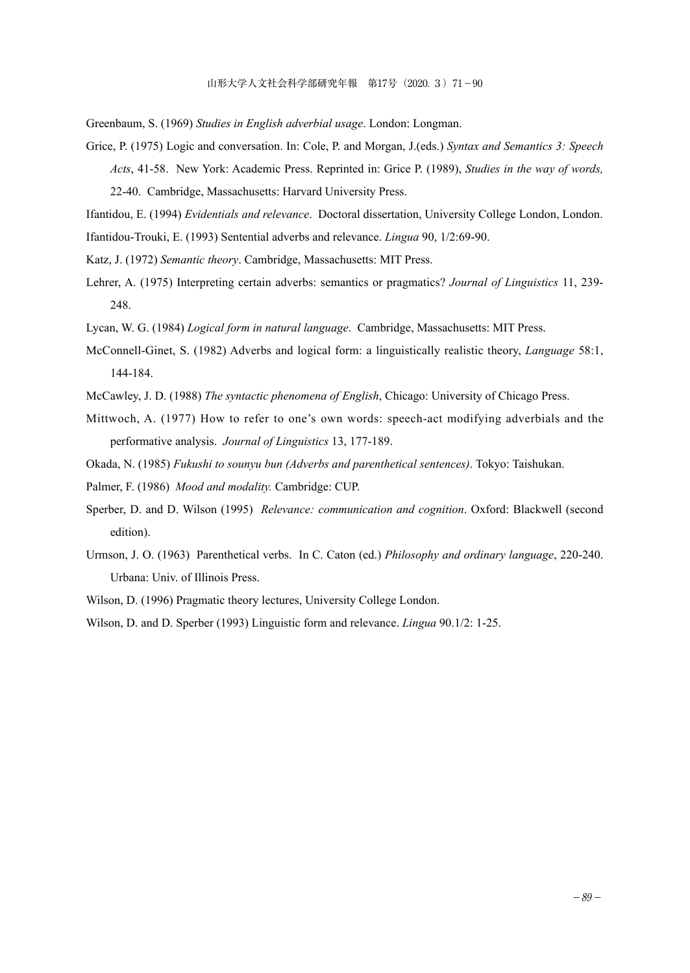Greenbaum, S. (1969) *Studies in English adverbial usage*. London: Longman.

Grice, P. (1975) Logic and conversation. In: Cole, P. and Morgan, J.(eds.) *Syntax and Semantics 3: Speech Acts*, 41-58. New York: Academic Press. Reprinted in: Grice P. (1989), *Studies in the way of words,*  22-40. Cambridge, Massachusetts: Harvard University Press.

Ifantidou, E. (1994) *Evidentials and relevance*. Doctoral dissertation, University College London, London. Ifantidou-Trouki, E. (1993) Sentential adverbs and relevance. *Lingua* 90, 1/2:69-90.

- Katz, J. (1972) *Semantic theory*. Cambridge, Massachusetts: MIT Press.
- Lehrer, A. (1975) Interpreting certain adverbs: semantics or pragmatics? *Journal of Linguistics* 11, 239- 248.
- Lycan, W. G. (1984) *Logical form in natural language*. Cambridge, Massachusetts: MIT Press.
- McConnell-Ginet, S. (1982) Adverbs and logical form: a linguistically realistic theory, *Language* 58:1, 144-184.
- McCawley, J. D. (1988) *The syntactic phenomena of English*, Chicago: University of Chicago Press.
- Mittwoch, A. (1977) How to refer to one's own words: speech-act modifying adverbials and the performative analysis. *Journal of Linguistics* 13, 177-189.
- Okada, N. (1985) *Fukushi to sounyu bun (Adverbs and parenthetical sentences)*. Tokyo: Taishukan.
- Palmer, F. (1986) *Mood and modality.* Cambridge: CUP.
- Sperber, D. and D. Wilson (1995) *Relevance: communication and cognition*. Oxford: Blackwell (second edition).
- Urmson, J. O. (1963) Parenthetical verbs. In C. Caton (ed.) *Philosophy and ordinary language*, 220-240. Urbana: Univ. of Illinois Press.
- Wilson, D. (1996) Pragmatic theory lectures, University College London.
- Wilson, D. and D. Sperber (1993) Linguistic form and relevance. *Lingua* 90.1/2: 1-25.